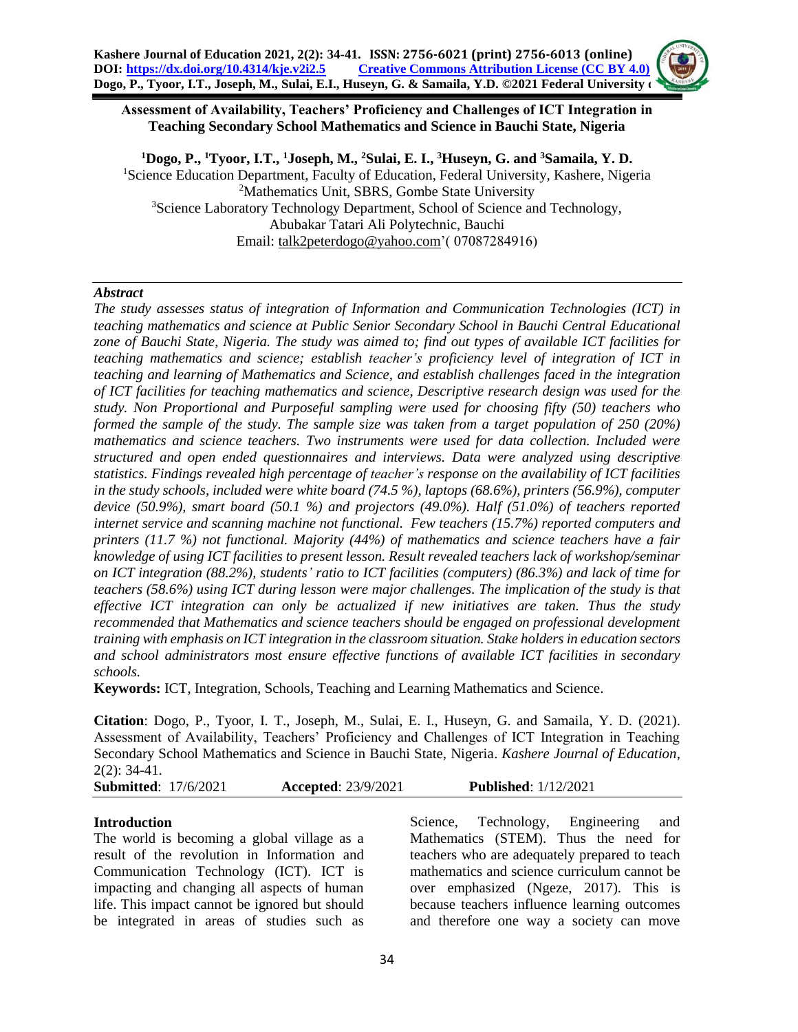#### **Assessment of Availability, Teachers' Proficiency and Challenges of ICT Integration in Teaching Secondary School Mathematics and Science in Bauchi State, Nigeria**

**<sup>1</sup>Dogo, P., <sup>1</sup>Tyoor, I.T., <sup>1</sup>Joseph, M., <sup>2</sup>Sulai, E. I., <sup>3</sup>Huseyn, G. and <sup>3</sup>Samaila, Y. D.**  <sup>1</sup>Science Education Department, Faculty of Education, Federal University, Kashere, Nigeria <sup>2</sup>Mathematics Unit, SBRS, Gombe State University <sup>3</sup>Science Laboratory Technology Department, School of Science and Technology, Abubakar Tatari Ali Polytechnic, Bauchi Email: [talk2peterdogo@yahoo.com'](mailto:talk2peterdogo@yahoo.com)( 07087284916)

### *Abstract*

*The study assesses status of integration of Information and Communication Technologies (ICT) in teaching mathematics and science at Public Senior Secondary School in Bauchi Central Educational zone of Bauchi State, Nigeria. The study was aimed to; find out types of available ICT facilities for teaching mathematics and science; establish teacher's proficiency level of integration of ICT in teaching and learning of Mathematics and Science, and establish challenges faced in the integration of ICT facilities for teaching mathematics and science, Descriptive research design was used for the study. Non Proportional and Purposeful sampling were used for choosing fifty (50) teachers who formed the sample of the study. The sample size was taken from a target population of 250 (20%) mathematics and science teachers. Two instruments were used for data collection. Included were structured and open ended questionnaires and interviews. Data were analyzed using descriptive statistics. Findings revealed high percentage of teacher's response on the availability of ICT facilities in the study schools, included were white board (74.5 %), laptops (68.6%), printers (56.9%), computer device (50.9%), smart board (50.1 %) and projectors (49.0%). Half (51.0%) of teachers reported internet service and scanning machine not functional. Few teachers (15.7%) reported computers and printers (11.7 %) not functional. Majority (44%) of mathematics and science teachers have a fair knowledge of using ICT facilities to present lesson. Result revealed teachers lack of workshop/seminar on ICT integration (88.2%), students' ratio to ICT facilities (computers) (86.3%) and lack of time for teachers (58.6%) using ICT during lesson were major challenges. The implication of the study is that effective ICT integration can only be actualized if new initiatives are taken. Thus the study recommended that Mathematics and science teachers should be engaged on professional development training with emphasis on ICT integration in the classroom situation. Stake holders in education sectors and school administrators most ensure effective functions of available ICT facilities in secondary schools.*

**Keywords:** ICT, Integration, Schools, Teaching and Learning Mathematics and Science.

**Citation**: Dogo, P., Tyoor, I. T., Joseph, M., Sulai, E. I., Huseyn, G. and Samaila, Y. D. (2021). Assessment of Availability, Teachers' Proficiency and Challenges of ICT Integration in Teaching Secondary School Mathematics and Science in Bauchi State, Nigeria. *Kashere Journal of Education*, 2(2): 34-41.

**Submitted**: 17/6/2021 **Accepted**: 23/9/2021 **Published**: 1/12/2021

# **Introduction**

The world is becoming a global village as a result of the revolution in Information and Communication Technology (ICT). ICT is impacting and changing all aspects of human life. This impact cannot be ignored but should be integrated in areas of studies such as Science, Technology, Engineering and Mathematics (STEM). Thus the need for teachers who are adequately prepared to teach mathematics and science curriculum cannot be over emphasized (Ngeze, 2017). This is because teachers influence learning outcomes and therefore one way a society can move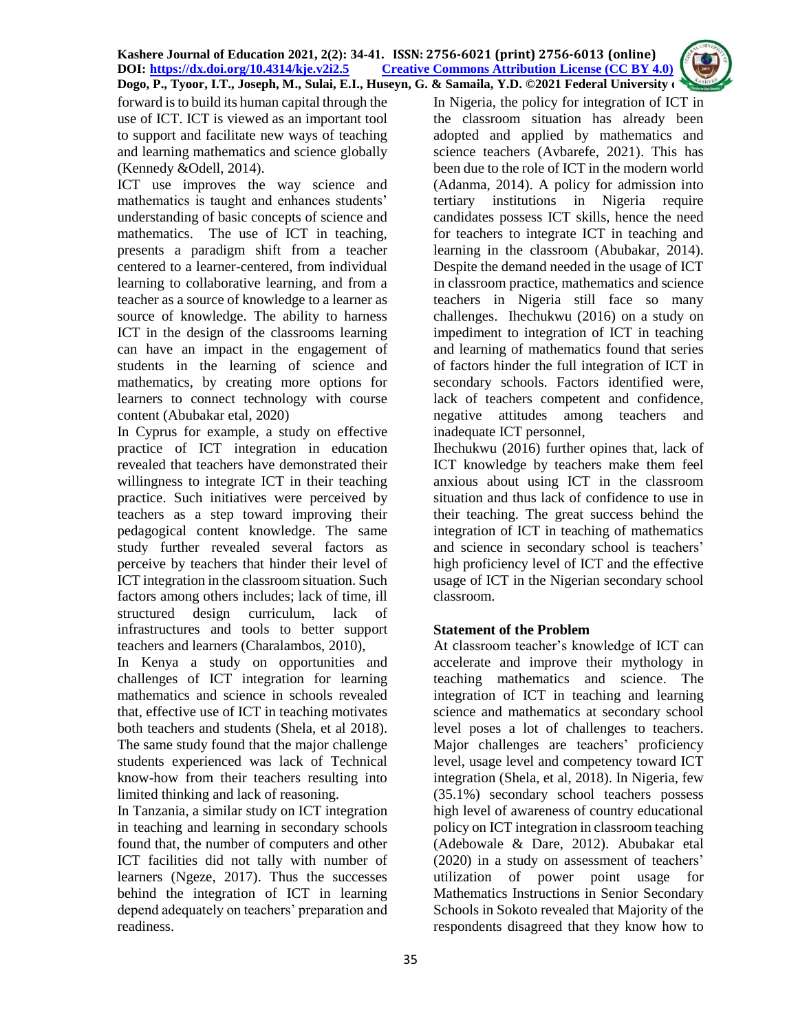

forward is to build its human capital through the use of ICT. ICT is viewed as an important tool to support and facilitate new ways of teaching and learning mathematics and science globally (Kennedy &Odell, 2014).

ICT use improves the way science and mathematics is taught and enhances students' understanding of basic concepts of science and mathematics. The use of ICT in teaching, presents a paradigm shift from a teacher centered to a learner-centered, from individual learning to collaborative learning, and from a teacher as a source of knowledge to a learner as source of knowledge. The ability to harness ICT in the design of the classrooms learning can have an impact in the engagement of students in the learning of science and mathematics, by creating more options for learners to connect technology with course content (Abubakar etal, 2020)

In Cyprus for example, a study on effective practice of ICT integration in education revealed that teachers have demonstrated their willingness to integrate ICT in their teaching practice. Such initiatives were perceived by teachers as a step toward improving their pedagogical content knowledge. The same study further revealed several factors as perceive by teachers that hinder their level of ICT integration in the classroom situation. Such factors among others includes; lack of time, ill structured design curriculum, lack of infrastructures and tools to better support teachers and learners (Charalambos, 2010),

In Kenya a study on opportunities and challenges of ICT integration for learning mathematics and science in schools revealed that, effective use of ICT in teaching motivates both teachers and students (Shela, et al 2018). The same study found that the major challenge students experienced was lack of Technical know-how from their teachers resulting into limited thinking and lack of reasoning.

In Tanzania, a similar study on ICT integration in teaching and learning in secondary schools found that, the number of computers and other ICT facilities did not tally with number of learners (Ngeze, 2017). Thus the successes behind the integration of ICT in learning depend adequately on teachers' preparation and readiness.

In Nigeria, the policy for integration of ICT in the classroom situation has already been adopted and applied by mathematics and science teachers (Avbarefe, 2021). This has been due to the role of ICT in the modern world (Adanma, 2014). A policy for admission into tertiary institutions in Nigeria require candidates possess ICT skills, hence the need for teachers to integrate ICT in teaching and learning in the classroom (Abubakar, 2014). Despite the demand needed in the usage of ICT in classroom practice, mathematics and science teachers in Nigeria still face so many challenges. Ihechukwu (2016) on a study on impediment to integration of ICT in teaching and learning of mathematics found that series of factors hinder the full integration of ICT in secondary schools. Factors identified were, lack of teachers competent and confidence, negative attitudes among teachers and inadequate ICT personnel,

Ihechukwu (2016) further opines that, lack of ICT knowledge by teachers make them feel anxious about using ICT in the classroom situation and thus lack of confidence to use in their teaching. The great success behind the integration of ICT in teaching of mathematics and science in secondary school is teachers' high proficiency level of ICT and the effective usage of ICT in the Nigerian secondary school classroom.

# **Statement of the Problem**

At classroom teacher's knowledge of ICT can accelerate and improve their mythology in teaching mathematics and science. The integration of ICT in teaching and learning science and mathematics at secondary school level poses a lot of challenges to teachers. Major challenges are teachers' proficiency level, usage level and competency toward ICT integration (Shela, et al, 2018). In Nigeria, few (35.1%) secondary school teachers possess high level of awareness of country educational policy on ICT integration in classroom teaching (Adebowale & Dare, 2012). Abubakar etal (2020) in a study on assessment of teachers' utilization of power point usage for Mathematics Instructions in Senior Secondary Schools in Sokoto revealed that Majority of the respondents disagreed that they know how to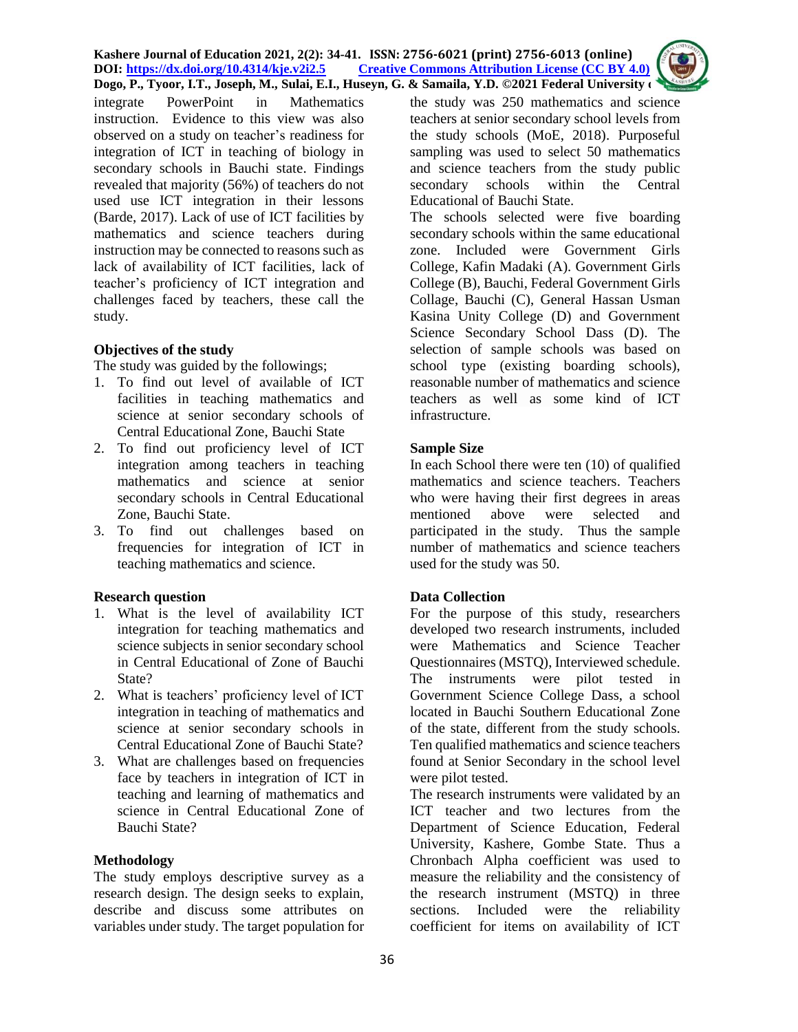**Kashere Journal of Education 2021, 2(2): 34-41. ISSN: 2756-6021 (print) 2756-6013 (online) DOI: <https://dx.doi.org/10.4314/kje.v2i2.5> [Creative Commons Attribution](http://creativecommons.org/licenses/by/4.0/) License (CC BY 4.0) Dogo, P., Tyoor, I.T., Joseph, M., Sulai, E.I., Huseyn, G. & Samaila, Y.D. ©2021 Federal University of** 

integrate PowerPoint in Mathematics instruction. Evidence to this view was also observed on a study on teacher's readiness for integration of ICT in teaching of biology in secondary schools in Bauchi state. Findings revealed that majority (56%) of teachers do not used use ICT integration in their lessons (Barde, 2017). Lack of use of ICT facilities by mathematics and science teachers during instruction may be connected to reasons such as lack of availability of ICT facilities, lack of teacher's proficiency of ICT integration and challenges faced by teachers, these call the study.

### **Objectives of the study**

The study was guided by the followings;

- 1. To find out level of available of ICT facilities in teaching mathematics and science at senior secondary schools of Central Educational Zone, Bauchi State
- 2. To find out proficiency level of ICT integration among teachers in teaching mathematics and science at senior secondary schools in Central Educational Zone, Bauchi State.
- 3. To find out challenges based on frequencies for integration of ICT in teaching mathematics and science.

#### **Research question**

- 1. What is the level of availability ICT integration for teaching mathematics and science subjects in senior secondary school in Central Educational of Zone of Bauchi State?
- 2. What is teachers' proficiency level of ICT integration in teaching of mathematics and science at senior secondary schools in Central Educational Zone of Bauchi State?
- 3. What are challenges based on frequencies face by teachers in integration of ICT in teaching and learning of mathematics and science in Central Educational Zone of Bauchi State?

#### **Methodology**

The study employs descriptive survey as a research design. The design seeks to explain, describe and discuss some attributes on variables under study. The target population for the study was 250 mathematics and science teachers at senior secondary school levels from the study schools (MoE, 2018). Purposeful sampling was used to select 50 mathematics and science teachers from the study public secondary schools within the Central Educational of Bauchi State.

The schools selected were five boarding secondary schools within the same educational zone. Included were Government Girls College, Kafin Madaki (A). Government Girls College (B), Bauchi, Federal Government Girls Collage, Bauchi (C), General Hassan Usman Kasina Unity College (D) and Government Science Secondary School Dass (D). The selection of sample schools was based on school type (existing boarding schools), reasonable number of mathematics and science teachers as well as some kind of ICT infrastructure.

#### **Sample Size**

In each School there were ten (10) of qualified mathematics and science teachers. Teachers who were having their first degrees in areas mentioned above were selected and participated in the study. Thus the sample number of mathematics and science teachers used for the study was 50.

#### **Data Collection**

For the purpose of this study, researchers developed two research instruments, included were Mathematics and Science Teacher Questionnaires (MSTQ), Interviewed schedule. The instruments were pilot tested in Government Science College Dass, a school located in Bauchi Southern Educational Zone of the state, different from the study schools. Ten qualified mathematics and science teachers found at Senior Secondary in the school level were pilot tested.

The research instruments were validated by an ICT teacher and two lectures from the Department of Science Education, Federal University, Kashere, Gombe State. Thus a Chronbach Alpha coefficient was used to measure the reliability and the consistency of the research instrument (MSTQ) in three sections. Included were the reliability coefficient for items on availability of ICT

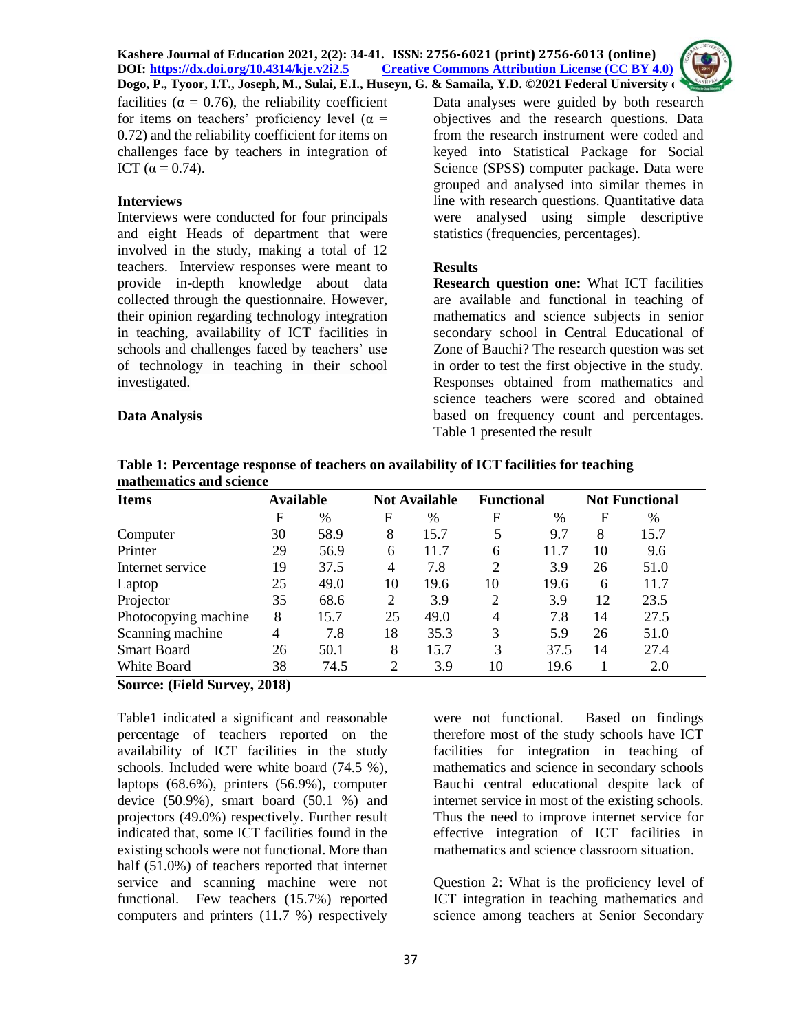**Kashere Journal of Education 2021, 2(2): 34-41. ISSN: 2756-6021 (print) 2756-6013 (online) Discretive Commons Attribution License (CC BY 4.0)** 

**Dogo, P., Tyoor, I.T., Joseph, M., Sulai, E.I., Huseyn, G. & Samaila, Y.D. ©2021 Federal University of**  facilities ( $\alpha = 0.76$ ), the reliability coefficient for items on teachers' proficiency level ( $\alpha$  = 0.72) and the reliability coefficient for items on challenges face by teachers in integration of ICT ( $α = 0.74$ ).

#### **Interviews**

Interviews were conducted for four principals and eight Heads of department that were involved in the study, making a total of 12 teachers. Interview responses were meant to provide in-depth knowledge about data collected through the questionnaire. However, their opinion regarding technology integration in teaching, availability of ICT facilities in schools and challenges faced by teachers' use of technology in teaching in their school investigated.

### **Data Analysis**

Data analyses were guided by both research objectives and the research questions. Data from the research instrument were coded and keyed into Statistical Package for Social Science (SPSS) computer package. Data were grouped and analysed into similar themes in line with research questions. Quantitative data were analysed using simple descriptive statistics (frequencies, percentages).

# **Results**

**Research question one:** What ICT facilities are available and functional in teaching of mathematics and science subjects in senior secondary school in Central Educational of Zone of Bauchi? The research question was set in order to test the first objective in the study. Responses obtained from mathematics and science teachers were scored and obtained based on frequency count and percentages. Table 1 presented the result

| Table 1: Percentage response of teachers on availability of ICT facilities for teaching |  |
|-----------------------------------------------------------------------------------------|--|
| mathematics and science                                                                 |  |

| <b>Items</b>         | <b>Available</b> |      |                | <b>Not Available</b> | <b>Functional</b> |               | <b>Not Functional</b> |      |
|----------------------|------------------|------|----------------|----------------------|-------------------|---------------|-----------------------|------|
|                      | F                | $\%$ | F              | $\%$                 | F                 | $\frac{0}{0}$ | F                     | %    |
| Computer             | 30               | 58.9 | 8              | 15.7                 | 5                 | 9.7           | 8                     | 15.7 |
| Printer              | 29               | 56.9 | 6              | 11.7                 | 6                 | 11.7          | 10                    | 9.6  |
| Internet service     | 19               | 37.5 | $\overline{4}$ | 7.8                  | 2                 | 3.9           | 26                    | 51.0 |
| Laptop               | 25               | 49.0 | 10             | 19.6                 | 10                | 19.6          | 6                     | 11.7 |
| Projector            | 35               | 68.6 | 2              | 3.9                  | 2                 | 3.9           | 12                    | 23.5 |
| Photocopying machine | 8                | 15.7 | 25             | 49.0                 | $\overline{4}$    | 7.8           | 14                    | 27.5 |
| Scanning machine     | 4                | 7.8  | 18             | 35.3                 | 3                 | 5.9           | 26                    | 51.0 |
| <b>Smart Board</b>   | 26               | 50.1 | 8              | 15.7                 | 3                 | 37.5          | 14                    | 27.4 |
| White Board          | 38               | 74.5 | ⌒              | 3.9                  | 10                | 19.6          |                       | 2.0  |

**Source: (Field Survey, 2018)**

Table1 indicated a significant and reasonable percentage of teachers reported on the availability of ICT facilities in the study schools. Included were white board (74.5 %), laptops (68.6%), printers (56.9%), computer device  $(50.9\%)$ , smart board  $(50.1\%)$  and projectors (49.0%) respectively. Further result indicated that, some ICT facilities found in the existing schools were not functional. More than half (51.0%) of teachers reported that internet service and scanning machine were not functional. Few teachers (15.7%) reported computers and printers (11.7 %) respectively were not functional. Based on findings therefore most of the study schools have ICT facilities for integration in teaching of mathematics and science in secondary schools Bauchi central educational despite lack of internet service in most of the existing schools. Thus the need to improve internet service for effective integration of ICT facilities in mathematics and science classroom situation.

Question 2: What is the proficiency level of ICT integration in teaching mathematics and science among teachers at Senior Secondary

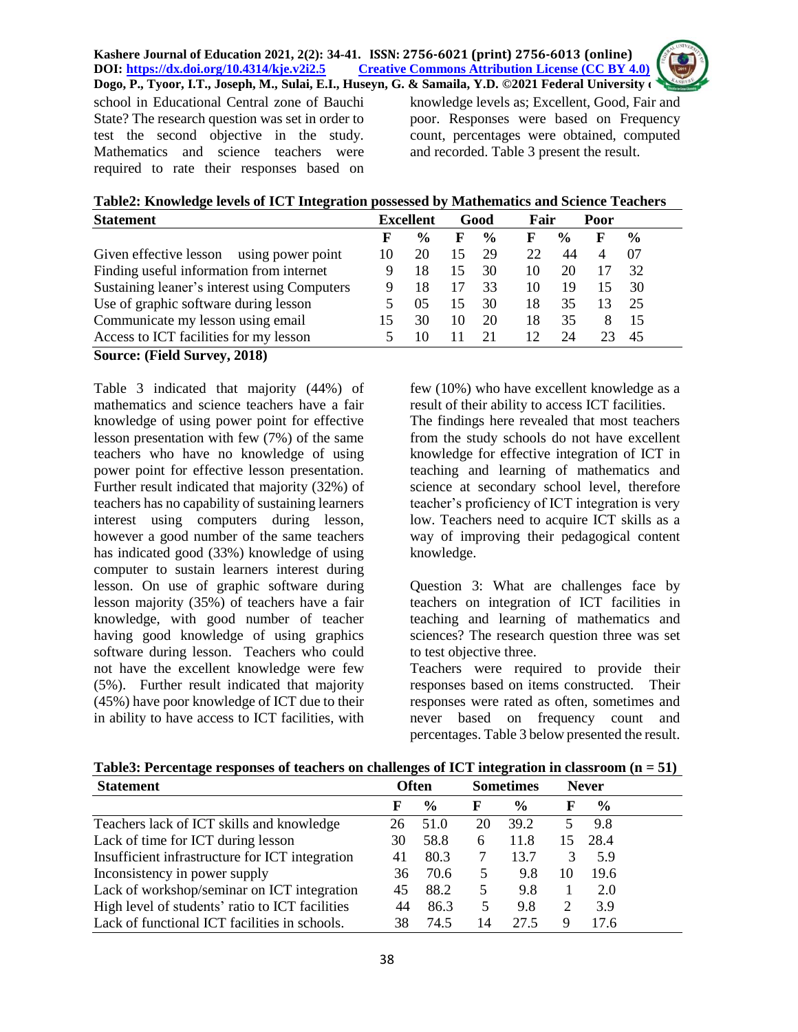school in Educational Central zone of Bauchi State? The research question was set in order to test the second objective in the study. Mathematics and science teachers were required to rate their responses based on knowledge levels as; Excellent, Good, Fair and poor. Responses were based on Frequency count, percentages were obtained, computed and recorded. Table 3 present the result.

**Table2: Knowledge levels of ICT Integration possessed by Mathematics and Science Teachers**

| <b>Statement</b>                             | <b>Excellent</b> |                | Good |               |    | Fair          |    |               |  |
|----------------------------------------------|------------------|----------------|------|---------------|----|---------------|----|---------------|--|
|                                              | F                | $\frac{6}{10}$ | F    | $\frac{0}{0}$ | F  | $\frac{6}{9}$ | F  | $\frac{6}{9}$ |  |
| Given effective lesson<br>using power point  | 10               | 20             | 15   | 29            | 22 | 44            |    | 07            |  |
| Finding useful information from internet     |                  | 18             | 15   | 30            | 10 | 20            |    | 32            |  |
| Sustaining leaner's interest using Computers |                  | 18             |      | 33            | 10 | 19            | 15 | 30            |  |
| Use of graphic software during lesson        |                  | 05             | 15   | 30            | 18 | 35            | 13 | 25            |  |
| Communicate my lesson using email            | 15               | 30             | 10   | 20            | 18 | 35            | 8  | 15            |  |
| Access to ICT facilities for my lesson       |                  | 10             | 11   | 21            | 12 | 24            |    | 45            |  |
| Source: (Field Survey, 2018)                 |                  |                |      |               |    |               |    |               |  |

Table 3 indicated that majority (44%) of mathematics and science teachers have a fair knowledge of using power point for effective lesson presentation with few (7%) of the same teachers who have no knowledge of using power point for effective lesson presentation. Further result indicated that majority (32%) of teachers has no capability of sustaining learners interest using computers during lesson, however a good number of the same teachers has indicated good (33%) knowledge of using computer to sustain learners interest during lesson. On use of graphic software during lesson majority (35%) of teachers have a fair knowledge, with good number of teacher having good knowledge of using graphics software during lesson. Teachers who could not have the excellent knowledge were few (5%). Further result indicated that majority (45%) have poor knowledge of ICT due to their in ability to have access to ICT facilities, with few (10%) who have excellent knowledge as a result of their ability to access ICT facilities. The findings here revealed that most teachers from the study schools do not have excellent knowledge for effective integration of ICT in teaching and learning of mathematics and science at secondary school level, therefore teacher's proficiency of ICT integration is very low. Teachers need to acquire ICT skills as a way of improving their pedagogical content knowledge.

Question 3: What are challenges face by teachers on integration of ICT facilities in teaching and learning of mathematics and sciences? The research question three was set to test objective three.

Teachers were required to provide their responses based on items constructed. Their responses were rated as often, sometimes and never based on frequency count and percentages. Table 3 below presented the result.

| <b>Statement</b>                                | <b>Often</b> |               |    | - <del>. .</del><br><b>Sometimes</b> | <b>Never</b> |               |  |
|-------------------------------------------------|--------------|---------------|----|--------------------------------------|--------------|---------------|--|
|                                                 | F            | $\frac{6}{9}$ | F  | $\frac{0}{0}$                        | F            | $\frac{0}{0}$ |  |
| Teachers lack of ICT skills and knowledge       | 26           | 51.0          | 20 | 39.2                                 |              | 9.8           |  |
| Lack of time for ICT during lesson              | 30           | 58.8          | 6  | 11.8                                 | 15           | 28.4          |  |
| Insufficient infrastructure for ICT integration | 41           | 80.3          |    | 13.7                                 |              | 5.9           |  |
| Inconsistency in power supply                   | 36           | 70.6          | 5  | 9.8                                  | 10           | 19.6          |  |
| Lack of workshop/seminar on ICT integration     | 45           | 88.2          | 5  | 9.8                                  |              | 2.0           |  |
| High level of students' ratio to ICT facilities | 44           | 86.3          |    | 9.8                                  | 2            | 3.9           |  |
| Lack of functional ICT facilities in schools.   | 38           | 74.5          | 14 | 27.5                                 | 9            | 17.6          |  |

**Table3: Percentage responses of teachers on challenges of ICT integration in classroom (n = 51)**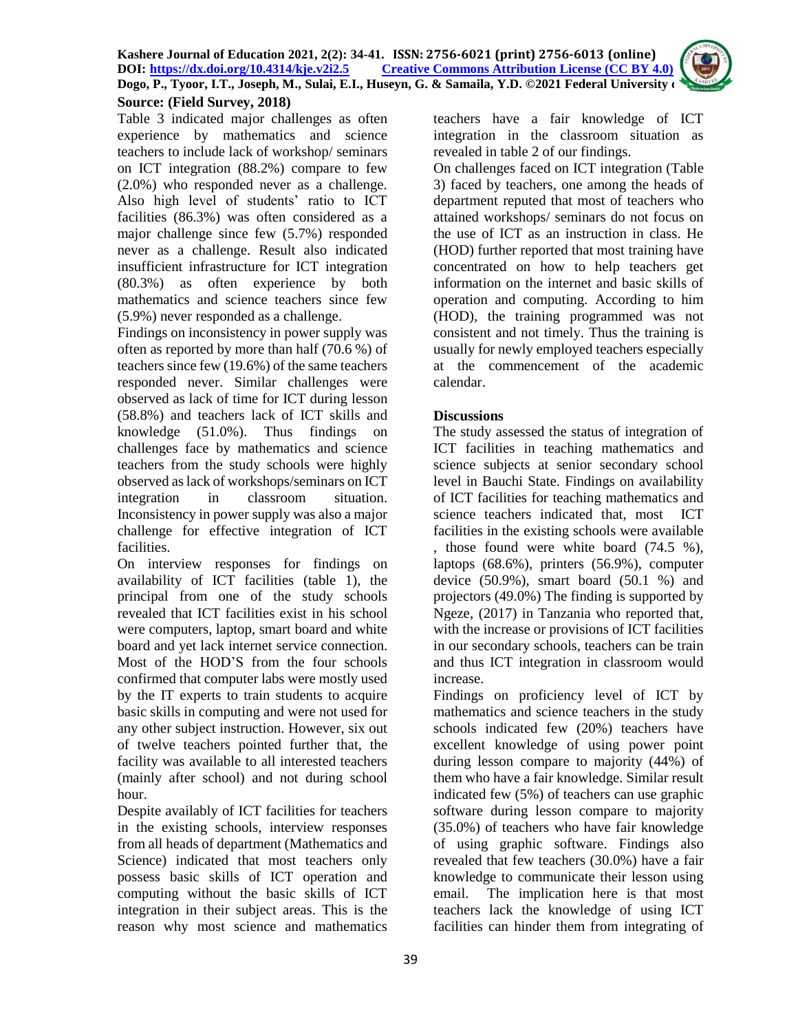

**Source: (Field Survey, 2018)** Table 3 indicated major challenges as often experience by mathematics and science teachers to include lack of workshop/ seminars on ICT integration (88.2%) compare to few (2.0%) who responded never as a challenge. Also high level of students' ratio to ICT facilities (86.3%) was often considered as a major challenge since few (5.7%) responded never as a challenge. Result also indicated insufficient infrastructure for ICT integration (80.3%) as often experience by both mathematics and science teachers since few (5.9%) never responded as a challenge.

Findings on inconsistency in power supply was often as reported by more than half (70.6 %) of teachers since few (19.6%) of the same teachers responded never. Similar challenges were observed as lack of time for ICT during lesson (58.8%) and teachers lack of ICT skills and knowledge (51.0%). Thus findings on challenges face by mathematics and science teachers from the study schools were highly observed as lack of workshops/seminars on ICT integration in classroom situation. Inconsistency in power supply was also a major challenge for effective integration of ICT facilities.

On interview responses for findings on availability of ICT facilities (table 1), the principal from one of the study schools revealed that ICT facilities exist in his school were computers, laptop, smart board and white board and yet lack internet service connection. Most of the HOD'S from the four schools confirmed that computer labs were mostly used by the IT experts to train students to acquire basic skills in computing and were not used for any other subject instruction. However, six out of twelve teachers pointed further that, the facility was available to all interested teachers (mainly after school) and not during school hour.

Despite availably of ICT facilities for teachers in the existing schools, interview responses from all heads of department (Mathematics and Science) indicated that most teachers only possess basic skills of ICT operation and computing without the basic skills of ICT integration in their subject areas. This is the reason why most science and mathematics

teachers have a fair knowledge of ICT integration in the classroom situation as revealed in table 2 of our findings.

On challenges faced on ICT integration (Table 3) faced by teachers, one among the heads of department reputed that most of teachers who attained workshops/ seminars do not focus on the use of ICT as an instruction in class. He (HOD) further reported that most training have concentrated on how to help teachers get information on the internet and basic skills of operation and computing. According to him (HOD), the training programmed was not consistent and not timely. Thus the training is usually for newly employed teachers especially at the commencement of the academic calendar.

# **Discussions**

The study assessed the status of integration of ICT facilities in teaching mathematics and science subjects at senior secondary school level in Bauchi State. Findings on availability of ICT facilities for teaching mathematics and science teachers indicated that, most ICT facilities in the existing schools were available , those found were white board (74.5 %), laptops (68.6%), printers (56.9%), computer device  $(50.9\%)$ , smart board  $(50.1\%)$  and projectors (49.0%) The finding is supported by Ngeze, (2017) in Tanzania who reported that, with the increase or provisions of ICT facilities in our secondary schools, teachers can be train and thus ICT integration in classroom would increase.

Findings on proficiency level of ICT by mathematics and science teachers in the study schools indicated few (20%) teachers have excellent knowledge of using power point during lesson compare to majority (44%) of them who have a fair knowledge. Similar result indicated few (5%) of teachers can use graphic software during lesson compare to majority (35.0%) of teachers who have fair knowledge of using graphic software. Findings also revealed that few teachers (30.0%) have a fair knowledge to communicate their lesson using email. The implication here is that most teachers lack the knowledge of using ICT facilities can hinder them from integrating of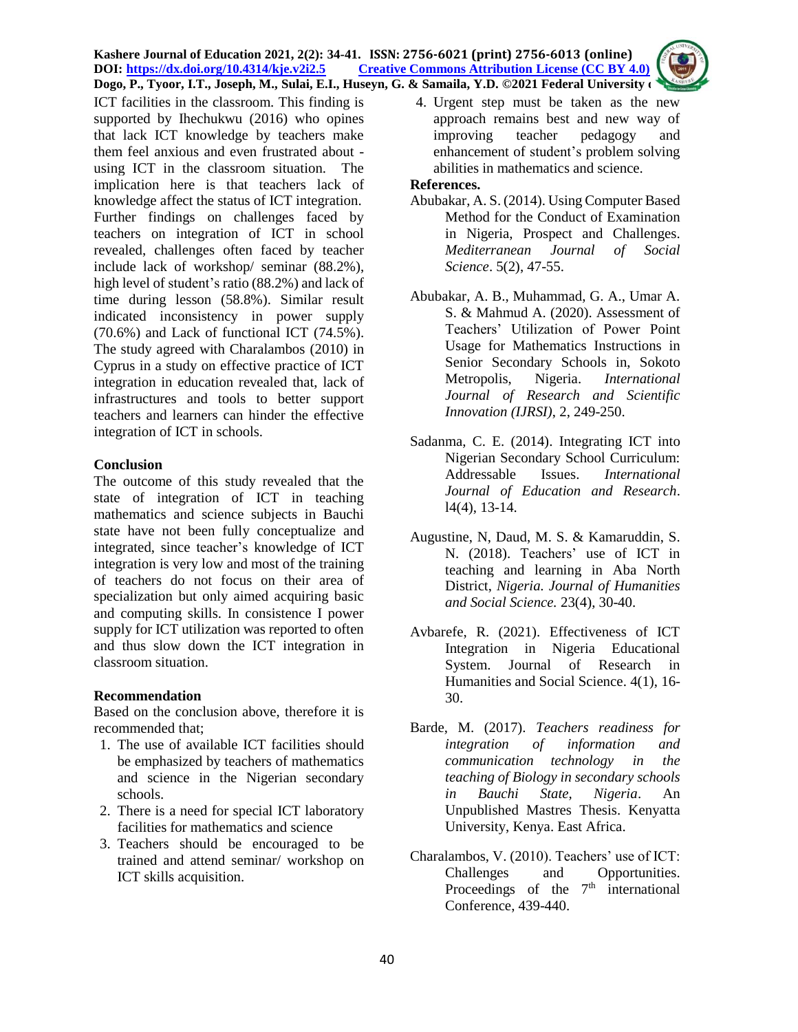#### **Kashere Journal of Education 2021, 2(2): 34-41. ISSN: 2756-6021 (print) 2756-6013 (online) DOI: <https://dx.doi.org/10.4314/kje.v2i2.5> [Creative Commons Attribution](http://creativecommons.org/licenses/by/4.0/) License (CC BY 4.0) Dogo, P., Tyoor, I.T., Joseph, M., Sulai, E.I., Huseyn, G. & Samaila, Y.D. ©2021 Federal University of**

ICT facilities in the classroom. This finding is supported by Ihechukwu (2016) who opines that lack ICT knowledge by teachers make them feel anxious and even frustrated about using ICT in the classroom situation. The implication here is that teachers lack of knowledge affect the status of ICT integration. Further findings on challenges faced by teachers on integration of ICT in school revealed, challenges often faced by teacher include lack of workshop/ seminar (88.2%), high level of student's ratio (88.2%) and lack of time during lesson (58.8%). Similar result indicated inconsistency in power supply (70.6%) and Lack of functional ICT (74.5%). The study agreed with Charalambos (2010) in Cyprus in a study on effective practice of ICT integration in education revealed that, lack of infrastructures and tools to better support teachers and learners can hinder the effective integration of ICT in schools.

# **Conclusion**

The outcome of this study revealed that the state of integration of ICT in teaching mathematics and science subjects in Bauchi state have not been fully conceptualize and integrated, since teacher's knowledge of ICT integration is very low and most of the training of teachers do not focus on their area of specialization but only aimed acquiring basic and computing skills. In consistence I power supply for ICT utilization was reported to often and thus slow down the ICT integration in classroom situation.

# **Recommendation**

Based on the conclusion above, therefore it is recommended that;

- 1. The use of available ICT facilities should be emphasized by teachers of mathematics and science in the Nigerian secondary schools.
- 2. There is a need for special ICT laboratory facilities for mathematics and science
- 3. Teachers should be encouraged to be trained and attend seminar/ workshop on ICT skills acquisition.

4. Urgent step must be taken as the new approach remains best and new way of improving teacher pedagogy and enhancement of student's problem solving abilities in mathematics and science.

#### **References.**

- Abubakar, A. S. (2014). Using Computer Based Method for the Conduct of Examination in Nigeria, Prospect and Challenges. *Mediterranean Journal of Social Science*. 5(2), 47-55.
- Abubakar, A. B., Muhammad, G. A., Umar A. S. & Mahmud A. (2020). Assessment of Teachers' Utilization of Power Point Usage for Mathematics Instructions in Senior Secondary Schools in, Sokoto Metropolis, Nigeria. *International Journal of Research and Scientific Innovation (IJRSI)*, 2, 249-250.
- Sadanma, C. E. (2014). Integrating ICT into Nigerian Secondary School Curriculum: Addressable Issues. *International Journal of Education and Research*. l4(4), 13-14.
- Augustine, N, Daud, M. S. & Kamaruddin, S. N. (2018). Teachers' use of ICT in teaching and learning in Aba North District, *Nigeria. Journal of Humanities and Social Science.* 23(4), 30-40.
- Avbarefe, R. (2021). Effectiveness of ICT Integration in Nigeria Educational System. Journal of Research in Humanities and Social Science. 4(1), 16- 30.
- Barde, M. (2017). *Teachers readiness for integration of information and communication technology in the teaching of Biology in secondary schools in Bauchi State, Nigeria*. An Unpublished Mastres Thesis. Kenyatta University, Kenya. East Africa.
- Charalambos, V. (2010). Teachers' use of ICT: Challenges and Opportunities. Proceedings of the  $7<sup>th</sup>$  international Conference, 439-440.